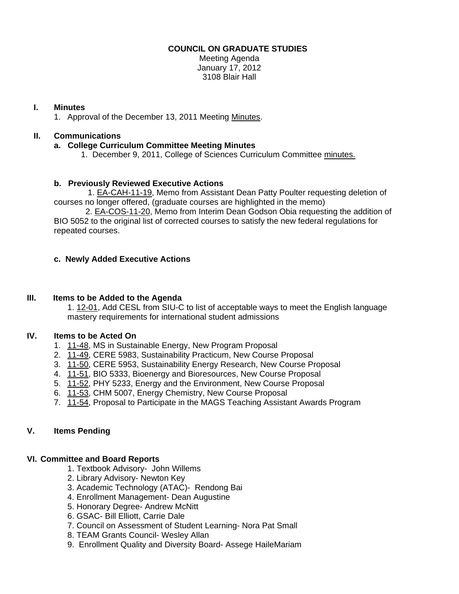## **COUNCIL ON GRADUATE STUDIES**

Meeting Agenda January 17, 2012 3108 Blair Hall

## **I. Minutes**

1. Approval of the December 13, 2011 Meeti[ng Minutes.](http://castle.eiu.edu/eiucgs/currentminutes/Minutes12-13-11.pdf) 

# **II. Communications**

## **a. College Curriculum Committee Meeting Minutes**

1. December 9, 2011, College of Sciences Curriculum Committ[ee minutes.](http://castle.eiu.edu/~eiucgs/currentagendaitems/COSMin12-9-11.pdf) 

# **b. Previ[ously Reviewed Ex](http://castle.eiu.edu/~eiucgs/exec-actions/EA-CAH-11-19.pdf)ecutive Actions**

1. EA-CAH-11-19, Memo from Assistant Dean Patty Poulter requesting deletion of courses no longer offered, (graduate courses are highlighted in the memo)

 2[. EA-COS-11-20, Me](http://castle.eiu.edu/~eiucgs/exec-actions/EA-COS-11-20.pdf)mo from Interim Dean Godson Obia requesting the addition of BIO 5052 to the original list of corrected courses to satisfy the new federal regulations for repeated courses.

## **c. Newly Added Executive Actions**

#### **III. Items to be Added to the Agenda**

[1. 12-01, Ad](http://castle.eiu.edu/~eiucgs/currentagendaitems/agenda12-01.pdf)d CESL from SIU-C to list of acceptable ways to meet the English language mastery requirements for international student admissions

# **IV. Items to be Acted On**

- 1. [11-48, M](http://castle.eiu.edu/~eiucgs/currentagendaitems/agenda11-48.pdf)S in Sustainable Energy, New Program Proposal
- 2. [11-49, C](http://castle.eiu.edu/~eiucgs/currentagendaitems/agenda11-49.pdf)ERE 5983, Sustainability Practicum, New Course Proposal
- 3. [11-50, C](http://castle.eiu.edu/~eiucgs/currentagendaitems/agenda11-50.pdf)ERE 5953, Sustainability Energy Research, New Course Proposal
- 4. [11-51,](http://castle.eiu.edu/~eiucgs/currentagendaitems/agenda11-51.pdf) BIO 5333, Bioenergy and Bioresources, New Course Proposal
- 5. [11-52, P](http://castle.eiu.edu/~eiucgs/currentagendaitems/agenda11-52.pdf)HY 5233, Energy and the Environment, New Course Proposal
- 6. [11-53,](http://castle.eiu.edu/~eiucgs/currentagendaitems/agenda11-53.pdf) CHM 5007, Energy Chemistry, New Course Proposal
- 7. [11-54,](http://castle.eiu.edu/~eiucgs/currentagendaitems/agenda11-54.pdf) Proposal to Participate in the MAGS Teaching Assistant Awards Program

#### **V. Items Pending**

#### **VI. Committee and Board Reports**

- 1. Textbook Advisory- John Willems
- 2. Library Advisory- Newton Key
- 3. Academic Technology (ATAC)- Rendong Bai
- 4. Enrollment Management- Dean Augustine
- 5. Honorary Degree- Andrew McNitt
- 6. GSAC- Bill Elliott, Carrie Dale
- 7. Council on Assessment of Student Learning- Nora Pat Small
- 8. TEAM Grants Council- Wesley Allan
- 9. Enrollment Quality and Diversity Board- Assege HaileMariam